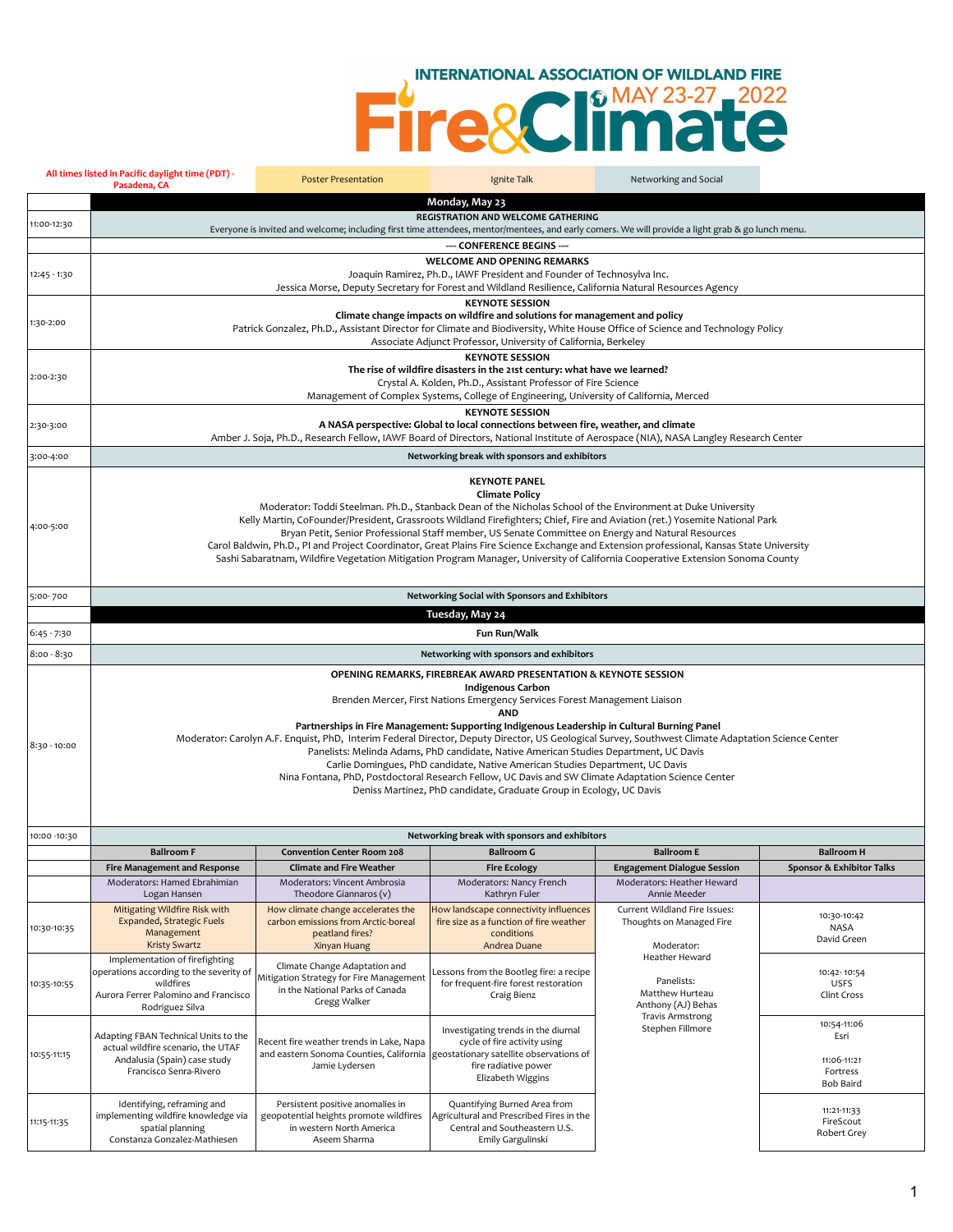## EL COCO HIDLAND FIRE

|               | All times listed in Pacific daylight time (PDT) -<br>Pasadena, CA                                                                                                                                                                                                                                                                                                                                                                                                                                                                                                                                                                                                                                                                                                                                   | <b>Poster Presentation</b>                                                                                                                       | Ignite Talk                                                                                                                                                                                                             | Networking and Social                                                                                                                                            |                                                             |
|---------------|-----------------------------------------------------------------------------------------------------------------------------------------------------------------------------------------------------------------------------------------------------------------------------------------------------------------------------------------------------------------------------------------------------------------------------------------------------------------------------------------------------------------------------------------------------------------------------------------------------------------------------------------------------------------------------------------------------------------------------------------------------------------------------------------------------|--------------------------------------------------------------------------------------------------------------------------------------------------|-------------------------------------------------------------------------------------------------------------------------------------------------------------------------------------------------------------------------|------------------------------------------------------------------------------------------------------------------------------------------------------------------|-------------------------------------------------------------|
|               |                                                                                                                                                                                                                                                                                                                                                                                                                                                                                                                                                                                                                                                                                                                                                                                                     |                                                                                                                                                  | Monday, May 23                                                                                                                                                                                                          |                                                                                                                                                                  |                                                             |
| 11:00-12:30   |                                                                                                                                                                                                                                                                                                                                                                                                                                                                                                                                                                                                                                                                                                                                                                                                     | Everyone is invited and welcome; including first time attendees, mentor/mentees, and early comers. We will provide a light grab & go lunch menu. | <b>REGISTRATION AND WELCOME GATHERING</b>                                                                                                                                                                               |                                                                                                                                                                  |                                                             |
|               |                                                                                                                                                                                                                                                                                                                                                                                                                                                                                                                                                                                                                                                                                                                                                                                                     |                                                                                                                                                  | ---- CONFERENCE BEGINS ----                                                                                                                                                                                             |                                                                                                                                                                  |                                                             |
| 12:45 - 1:30  |                                                                                                                                                                                                                                                                                                                                                                                                                                                                                                                                                                                                                                                                                                                                                                                                     |                                                                                                                                                  | <b>WELCOME AND OPENING REMARKS</b><br>Joaquin Ramirez, Ph.D., IAWF President and Founder of Technosylva Inc.<br>Jessica Morse, Deputy Secretary for Forest and Wildland Resilience, California Natural Resources Agency |                                                                                                                                                                  |                                                             |
| 1:30-2:00     |                                                                                                                                                                                                                                                                                                                                                                                                                                                                                                                                                                                                                                                                                                                                                                                                     | Patrick Gonzalez, Ph.D., Assistant Director for Climate and Biodiversity, White House Office of Science and Technology Policy                    | <b>KEYNOTE SESSION</b><br>Climate change impacts on wildfire and solutions for management and policy<br>Associate Adjunct Professor, University of California, Berkeley                                                 |                                                                                                                                                                  |                                                             |
| 2:00-2:30     | <b>KEYNOTE SESSION</b><br>The rise of wildfire disasters in the 21st century: what have we learned?<br>Crystal A. Kolden, Ph.D., Assistant Professor of Fire Science<br>Management of Complex Systems, College of Engineering, University of California, Merced                                                                                                                                                                                                                                                                                                                                                                                                                                                                                                                                     |                                                                                                                                                  |                                                                                                                                                                                                                         |                                                                                                                                                                  |                                                             |
| 2:30-3:00     | <b>KEYNOTE SESSION</b><br>A NASA perspective: Global to local connections between fire, weather, and climate<br>Amber J. Soja, Ph.D., Research Fellow, IAWF Board of Directors, National Institute of Aerospace (NIA), NASA Langley Research Center                                                                                                                                                                                                                                                                                                                                                                                                                                                                                                                                                 |                                                                                                                                                  |                                                                                                                                                                                                                         |                                                                                                                                                                  |                                                             |
| 3:00-4:00     |                                                                                                                                                                                                                                                                                                                                                                                                                                                                                                                                                                                                                                                                                                                                                                                                     |                                                                                                                                                  | Networking break with sponsors and exhibitors                                                                                                                                                                           |                                                                                                                                                                  |                                                             |
|               |                                                                                                                                                                                                                                                                                                                                                                                                                                                                                                                                                                                                                                                                                                                                                                                                     |                                                                                                                                                  |                                                                                                                                                                                                                         |                                                                                                                                                                  |                                                             |
| 4:00-5:00     | <b>KEYNOTE PANEL</b><br><b>Climate Policy</b><br>Moderator: Toddi Steelman. Ph.D., Stanback Dean of the Nicholas School of the Environment at Duke University<br>Kelly Martin, CoFounder/President, Grassroots Wildland Firefighters; Chief, Fire and Aviation (ret.) Yosemite National Park<br>Bryan Petit, Senior Professional Staff member, US Senate Committee on Energy and Natural Resources<br>Carol Baldwin, Ph.D., PI and Project Coordinator, Great Plains Fire Science Exchange and Extension professional, Kansas State University<br>Sashi Sabaratnam, Wildfire Vegetation Mitigation Program Manager, University of California Cooperative Extension Sonoma County                                                                                                                    |                                                                                                                                                  |                                                                                                                                                                                                                         |                                                                                                                                                                  |                                                             |
| 5:00-700      |                                                                                                                                                                                                                                                                                                                                                                                                                                                                                                                                                                                                                                                                                                                                                                                                     |                                                                                                                                                  | Networking Social with Sponsors and Exhibitors                                                                                                                                                                          |                                                                                                                                                                  |                                                             |
|               |                                                                                                                                                                                                                                                                                                                                                                                                                                                                                                                                                                                                                                                                                                                                                                                                     |                                                                                                                                                  | Tuesday, May 24                                                                                                                                                                                                         |                                                                                                                                                                  |                                                             |
| 6:45 - 7:30   |                                                                                                                                                                                                                                                                                                                                                                                                                                                                                                                                                                                                                                                                                                                                                                                                     |                                                                                                                                                  | Fun Run/Walk                                                                                                                                                                                                            |                                                                                                                                                                  |                                                             |
| $8:00 - 8:30$ |                                                                                                                                                                                                                                                                                                                                                                                                                                                                                                                                                                                                                                                                                                                                                                                                     |                                                                                                                                                  | Networking with sponsors and exhibitors                                                                                                                                                                                 |                                                                                                                                                                  |                                                             |
| 8:30 - 10:00  | OPENING REMARKS, FIREBREAK AWARD PRESENTATION & KEYNOTE SESSION<br><b>Indigenous Carbon</b><br>Brenden Mercer, First Nations Emergency Services Forest Management Liaison<br><b>AND</b><br>Partnerships in Fire Management: Supporting Indigenous Leadership in Cultural Burning Panel<br>Moderator: Carolyn A.F. Enquist, PhD, Interim Federal Director, Deputy Director, US Geological Survey, Southwest Climate Adaptation Science Center<br>Panelists: Melinda Adams, PhD candidate, Native American Studies Department, UC Davis<br>Carlie Domingues, PhD candidate, Native American Studies Department, UC Davis<br>Nina Fontana, PhD, Postdoctoral Research Fellow, UC Davis and SW Climate Adaptation Science Center<br>Deniss Martinez, PhD candidate, Graduate Group in Ecology, UC Davis |                                                                                                                                                  |                                                                                                                                                                                                                         |                                                                                                                                                                  |                                                             |
| 10:00 -10:30  |                                                                                                                                                                                                                                                                                                                                                                                                                                                                                                                                                                                                                                                                                                                                                                                                     |                                                                                                                                                  | Networking break with sponsors and exhibitors                                                                                                                                                                           |                                                                                                                                                                  |                                                             |
|               | <b>Ballroom F</b>                                                                                                                                                                                                                                                                                                                                                                                                                                                                                                                                                                                                                                                                                                                                                                                   | <b>Convention Center Room 208</b>                                                                                                                | <b>Ballroom G</b>                                                                                                                                                                                                       | <b>Ballroom E</b>                                                                                                                                                | <b>Ballroom H</b>                                           |
|               | <b>Fire Management and Response</b>                                                                                                                                                                                                                                                                                                                                                                                                                                                                                                                                                                                                                                                                                                                                                                 | <b>Climate and Fire Weather</b>                                                                                                                  | <b>Fire Ecology</b>                                                                                                                                                                                                     | <b>Engagement Dialogue Session</b>                                                                                                                               | Sponsor & Exhibitor Talks                                   |
|               | Moderators: Hamed Ebrahimian<br>Logan Hansen                                                                                                                                                                                                                                                                                                                                                                                                                                                                                                                                                                                                                                                                                                                                                        | Moderators: Vincent Ambrosia<br>Theodore Giannaros (v)                                                                                           | Moderators: Nancy French<br>Kathryn Fuler                                                                                                                                                                               | Moderators: Heather Heward                                                                                                                                       |                                                             |
| 10:30-10:35   | Mitigating Wildfire Risk with<br>Expanded, Strategic Fuels<br>Management<br><b>Kristy Swartz</b>                                                                                                                                                                                                                                                                                                                                                                                                                                                                                                                                                                                                                                                                                                    | How climate change accelerates the<br>carbon emissions from Arctic-boreal<br>peatland fires?<br>Xinyan Huang                                     | How landscape connectivity influences<br>fire size as a function of fire weather<br>conditions<br>Andrea Duane                                                                                                          | Annie Meeder<br>Current Wildland Fire Issues:<br>Thoughts on Managed Fire<br>Moderator:<br>Heather Heward<br>Panelists:<br>Matthew Hurteau<br>Anthony (AJ) Behas | 10:30-10:42<br><b>NASA</b><br>David Green                   |
| 10:35-10:55   | Implementation of firefighting<br>operations according to the severity of<br>wildfires<br>Aurora Ferrer Palomino and Francisco<br>Rodriguez Silva                                                                                                                                                                                                                                                                                                                                                                                                                                                                                                                                                                                                                                                   | Climate Change Adaptation and<br>Mitigation Strategy for Fire Management<br>in the National Parks of Canada<br>Gregg Walker                      | Lessons from the Bootleg fire: a recipe<br>for frequent-fire forest restoration<br>Craig Bienz                                                                                                                          |                                                                                                                                                                  | 10:42-10:54<br><b>USFS</b><br>Clint Cross                   |
| 10:55-11:15   | Adapting FBAN Technical Units to the<br>actual wildfire scenario, the UTAF<br>Andalusia (Spain) case study<br>Francisco Senra-Rivero                                                                                                                                                                                                                                                                                                                                                                                                                                                                                                                                                                                                                                                                | Recent fire weather trends in Lake, Napa<br>and eastern Sonoma Counties, California<br>Jamie Lydersen                                            | Investigating trends in the diurnal<br>cycle of fire activity using<br>geostationary satellite observations of<br>fire radiative power<br>Elizabeth Wiggins                                                             | <b>Travis Armstrong</b><br>Stephen Fillmore                                                                                                                      | 10:54-11:06<br>Esri<br>11:06-11:21<br>Fortress<br>Bob Baird |
| 11:15-11:35   | Identifying, reframing and<br>implementing wildfire knowledge via<br>spatial planning<br>Constanza Gonzalez-Mathiesen                                                                                                                                                                                                                                                                                                                                                                                                                                                                                                                                                                                                                                                                               | Persistent positive anomalies in<br>geopotential heights promote wildfires<br>in western North America<br>Aseem Sharma                           | Quantifying Burned Area from<br>Agricultural and Prescribed Fires in the<br>Central and Southeastern U.S.<br>Emily Gargulinski                                                                                          |                                                                                                                                                                  | 11:21-11:33<br>FireScout<br>Robert Grey                     |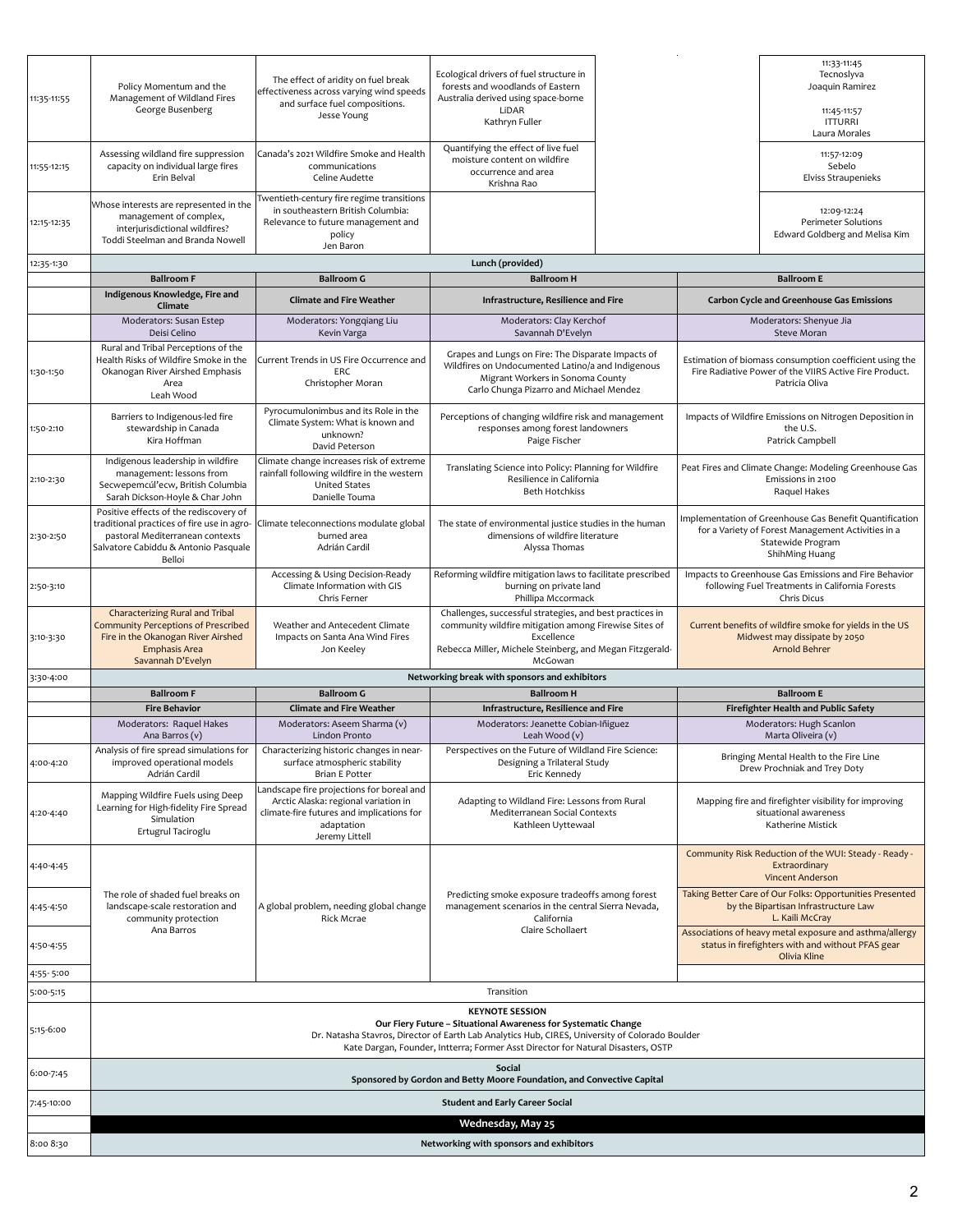| 11:35-11:55            | Policy Momentum and the<br>Management of Wildland Fires<br>George Busenberg                                                                                               | The effect of aridity on fuel break<br>effectiveness across varying wind speeds<br>and surface fuel compositions.<br>Jesse Young                               | Ecological drivers of fuel structure in<br>forests and woodlands of Eastern<br>Australia derived using space-borne<br>LiDAR<br>Kathryn Fuller                                                                                                                                   |  |  | 11:33-11:45<br>Tecnoslyva<br>Joaquin Ramirez<br>11:45-11:57<br><b>ITTURRI</b><br>Laura Morales                                                                                 |  |
|------------------------|---------------------------------------------------------------------------------------------------------------------------------------------------------------------------|----------------------------------------------------------------------------------------------------------------------------------------------------------------|---------------------------------------------------------------------------------------------------------------------------------------------------------------------------------------------------------------------------------------------------------------------------------|--|--|--------------------------------------------------------------------------------------------------------------------------------------------------------------------------------|--|
| 11:55-12:15            | Assessing wildland fire suppression<br>capacity on individual large fires<br>Erin Belval                                                                                  | Canada's 2021 Wildfire Smoke and Health<br>communications<br>Celine Audette                                                                                    | Quantifying the effect of live fuel<br>moisture content on wildfire<br>occurrence and area<br>Krishna Rao                                                                                                                                                                       |  |  | 11:57-12:09<br>Sebelo<br>Elviss Straupenieks                                                                                                                                   |  |
| 12:15-12:35            | Whose interests are represented in the<br>management of complex,<br>interjurisdictional wildfires?<br>Toddi Steelman and Branda Nowell                                    | Twentieth-century fire regime transitions<br>in southeastern British Columbia:<br>Relevance to future management and<br>policy<br>Jen Baron                    |                                                                                                                                                                                                                                                                                 |  |  | 12:09-12:24<br>Perimeter Solutions<br>Edward Goldberg and Melisa Kim                                                                                                           |  |
| 12:35-1:30             |                                                                                                                                                                           |                                                                                                                                                                | Lunch (provided)                                                                                                                                                                                                                                                                |  |  |                                                                                                                                                                                |  |
|                        | <b>Ballroom F</b><br>Indigenous Knowledge, Fire and                                                                                                                       | <b>Ballroom G</b>                                                                                                                                              | <b>Ballroom H</b>                                                                                                                                                                                                                                                               |  |  | <b>Ballroom E</b>                                                                                                                                                              |  |
|                        | Climate                                                                                                                                                                   | <b>Climate and Fire Weather</b>                                                                                                                                | Infrastructure, Resilience and Fire                                                                                                                                                                                                                                             |  |  | <b>Carbon Cycle and Greenhouse Gas Emissions</b>                                                                                                                               |  |
|                        | Moderators: Susan Estep<br>Deisi Celino                                                                                                                                   | Moderators: Yongqiang Liu<br>Kevin Varga                                                                                                                       | Moderators: Clay Kerchof<br>Savannah D'Evelyn                                                                                                                                                                                                                                   |  |  | Moderators: Shenyue Jia<br>Steve Moran                                                                                                                                         |  |
| 1:30-1:50              | Rural and Tribal Perceptions of the<br>Health Risks of Wildfire Smoke in the<br>Okanogan River Airshed Emphasis<br>Area<br>Leah Wood                                      | Current Trends in US Fire Occurrence and<br>ERC<br>Christopher Moran                                                                                           | Grapes and Lungs on Fire: The Disparate Impacts of<br>Wildfires on Undocumented Latino/a and Indigenous<br>Migrant Workers in Sonoma County<br>Carlo Chunga Pizarro and Michael Mendez                                                                                          |  |  | Estimation of biomass consumption coefficient using the<br>Fire Radiative Power of the VIIRS Active Fire Product.<br>Patricia Oliva                                            |  |
| 1:50-2:10              | Barriers to Indigenous-led fire<br>stewardship in Canada<br>Kira Hoffman                                                                                                  | Pyrocumulonimbus and its Role in the<br>Climate System: What is known and<br>unknown?<br>David Peterson                                                        | Perceptions of changing wildfire risk and management<br>responses among forest landowners<br>Paige Fischer                                                                                                                                                                      |  |  | Impacts of Wildfire Emissions on Nitrogen Deposition in<br>the U.S.<br>Patrick Campbell                                                                                        |  |
| 2:10-2:30              | Indigenous leadership in wildfire<br>management: lessons from<br>Secwepemcúl'ecw, British Columbia<br>Sarah Dickson-Hoyle & Char John                                     | Climate change increases risk of extreme<br>rainfall following wildfire in the western<br><b>United States</b><br>Danielle Touma                               | Translating Science into Policy: Planning for Wildfire<br>Resilience in California<br><b>Beth Hotchkiss</b>                                                                                                                                                                     |  |  | Peat Fires and Climate Change: Modeling Greenhouse Gas<br>Emissions in 2100<br>Raquel Hakes                                                                                    |  |
| 2:30-2:50              | Positive effects of the rediscovery of<br>traditional practices of fire use in agro-<br>pastoral Mediterranean contexts<br>Salvatore Cabiddu & Antonio Pasquale<br>Belloi | Climate teleconnections modulate global<br>burned area<br>Adrián Cardil                                                                                        | The state of environmental justice studies in the human<br>dimensions of wildfire literature<br>Alyssa Thomas                                                                                                                                                                   |  |  | Implementation of Greenhouse Gas Benefit Quantification<br>for a Variety of Forest Management Activities in a<br>Statewide Program<br>ShihMing Huang                           |  |
| 2:50-3:10              |                                                                                                                                                                           | Accessing & Using Decision-Ready<br>Climate Information with GIS<br>Chris Ferner                                                                               | Reforming wildfire mitigation laws to facilitate prescribed<br>burning on private land<br>Phillipa Mccormack                                                                                                                                                                    |  |  | Impacts to Greenhouse Gas Emissions and Fire Behavior<br>following Fuel Treatments in California Forests<br>Chris Dicus                                                        |  |
| 3:10-3:30              | Characterizing Rural and Tribal<br>Community Perceptions of Prescribed<br>Fire in the Okanogan River Airshed<br><b>Emphasis Area</b><br>Savannah D'Evelyn                 | Weather and Antecedent Climate<br>Impacts on Santa Ana Wind Fires<br>Jon Keeley                                                                                | Challenges, successful strategies, and best practices in<br>community wildfire mitigation among Firewise Sites of<br>Excellence<br>Rebecca Miller, Michele Steinberg, and Megan Fitzgerald-<br>McGowan                                                                          |  |  | Current benefits of wildfire smoke for yields in the US<br>Midwest may dissipate by 2050<br>Arnold Behrer                                                                      |  |
| 3:30-4:00              |                                                                                                                                                                           |                                                                                                                                                                | Networking break with sponsors and exhibitors                                                                                                                                                                                                                                   |  |  |                                                                                                                                                                                |  |
|                        | <b>Ballroom F</b><br><b>Fire Behavior</b>                                                                                                                                 | <b>Ballroom G</b><br><b>Climate and Fire Weather</b>                                                                                                           | <b>Ballroom H</b><br>Infrastructure, Resilience and Fire                                                                                                                                                                                                                        |  |  | <b>Ballroom E</b><br>Firefighter Health and Public Safety                                                                                                                      |  |
|                        | Moderators: Raquel Hakes<br>Ana Barros (v)                                                                                                                                | Moderators: Aseem Sharma (v)<br>Lindon Pronto                                                                                                                  | Moderators: Jeanette Cobian-Iñiguez<br>Leah Wood (v)                                                                                                                                                                                                                            |  |  | Moderators: Hugh Scanlon<br>Marta Oliveira (v)                                                                                                                                 |  |
| 4:00-4:20              | improved operational models<br>Adrián Cardil                                                                                                                              | Analysis of fire spread simulations for   Characterizing historic changes in near-<br>surface atmospheric stability<br><b>Brian E Potter</b>                   | Perspectives on the Future of Wildland Fire Science:<br>Designing a Trilateral Study<br>Eric Kennedy                                                                                                                                                                            |  |  | Bringing Mental Health to the Fire Line<br>Drew Prochniak and Trey Doty                                                                                                        |  |
| 4:20-4:40              | Mapping Wildfire Fuels using Deep<br>Learning for High-fidelity Fire Spread<br>Simulation<br>Ertugrul Taciroglu                                                           | Landscape fire projections for boreal and<br>Arctic Alaska: regional variation in<br>climate-fire futures and implications for<br>adaptation<br>Jeremy Littell | Adapting to Wildland Fire: Lessons from Rural<br>Mediterranean Social Contexts<br>Kathleen Uyttewaal                                                                                                                                                                            |  |  | Mapping fire and firefighter visibility for improving<br>situational awareness<br>Katherine Mistick                                                                            |  |
| 4:40-4:45              |                                                                                                                                                                           |                                                                                                                                                                |                                                                                                                                                                                                                                                                                 |  |  | Community Risk Reduction of the WUI: Steady - Ready -<br>Extraordinary<br><b>Vincent Anderson</b>                                                                              |  |
| 4:45-4:50              | The role of shaded fuel breaks on<br>landscape-scale restoration and<br>community protection<br>Ana Barros                                                                | A global problem, needing global change<br>Rick Mcrae                                                                                                          | Predicting smoke exposure tradeoffs among forest<br>management scenarios in the central Sierra Nevada,<br>California<br>Claire Schollaert                                                                                                                                       |  |  | Taking Better Care of Our Folks: Opportunities Presented<br>by the Bipartisan Infrastructure Law<br>L. Kaili McCray<br>Associations of heavy metal exposure and asthma/allergy |  |
| 4:50-4:55              |                                                                                                                                                                           |                                                                                                                                                                |                                                                                                                                                                                                                                                                                 |  |  | status in firefighters with and without PFAS gear<br>Olivia Kline                                                                                                              |  |
| 4:55-5:00<br>5:00-5:15 |                                                                                                                                                                           |                                                                                                                                                                | Transition                                                                                                                                                                                                                                                                      |  |  |                                                                                                                                                                                |  |
| 5:15-6:00              |                                                                                                                                                                           |                                                                                                                                                                | <b>KEYNOTE SESSION</b><br>Our Fiery Future - Situational Awareness for Systematic Change<br>Dr. Natasha Stavros, Director of Earth Lab Analytics Hub, CIRES, University of Colorado Boulder<br>Kate Dargan, Founder, Intterra; Former Asst Director for Natural Disasters, OSTP |  |  |                                                                                                                                                                                |  |
| 6:00-7:45              |                                                                                                                                                                           |                                                                                                                                                                | Social<br>Sponsored by Gordon and Betty Moore Foundation, and Convective Capital                                                                                                                                                                                                |  |  |                                                                                                                                                                                |  |
| 7:45-10:00             | <b>Student and Early Career Social</b>                                                                                                                                    |                                                                                                                                                                |                                                                                                                                                                                                                                                                                 |  |  |                                                                                                                                                                                |  |
|                        | Wednesday, May 25                                                                                                                                                         |                                                                                                                                                                |                                                                                                                                                                                                                                                                                 |  |  |                                                                                                                                                                                |  |
| 8:00 8:30              |                                                                                                                                                                           |                                                                                                                                                                | Networking with sponsors and exhibitors                                                                                                                                                                                                                                         |  |  |                                                                                                                                                                                |  |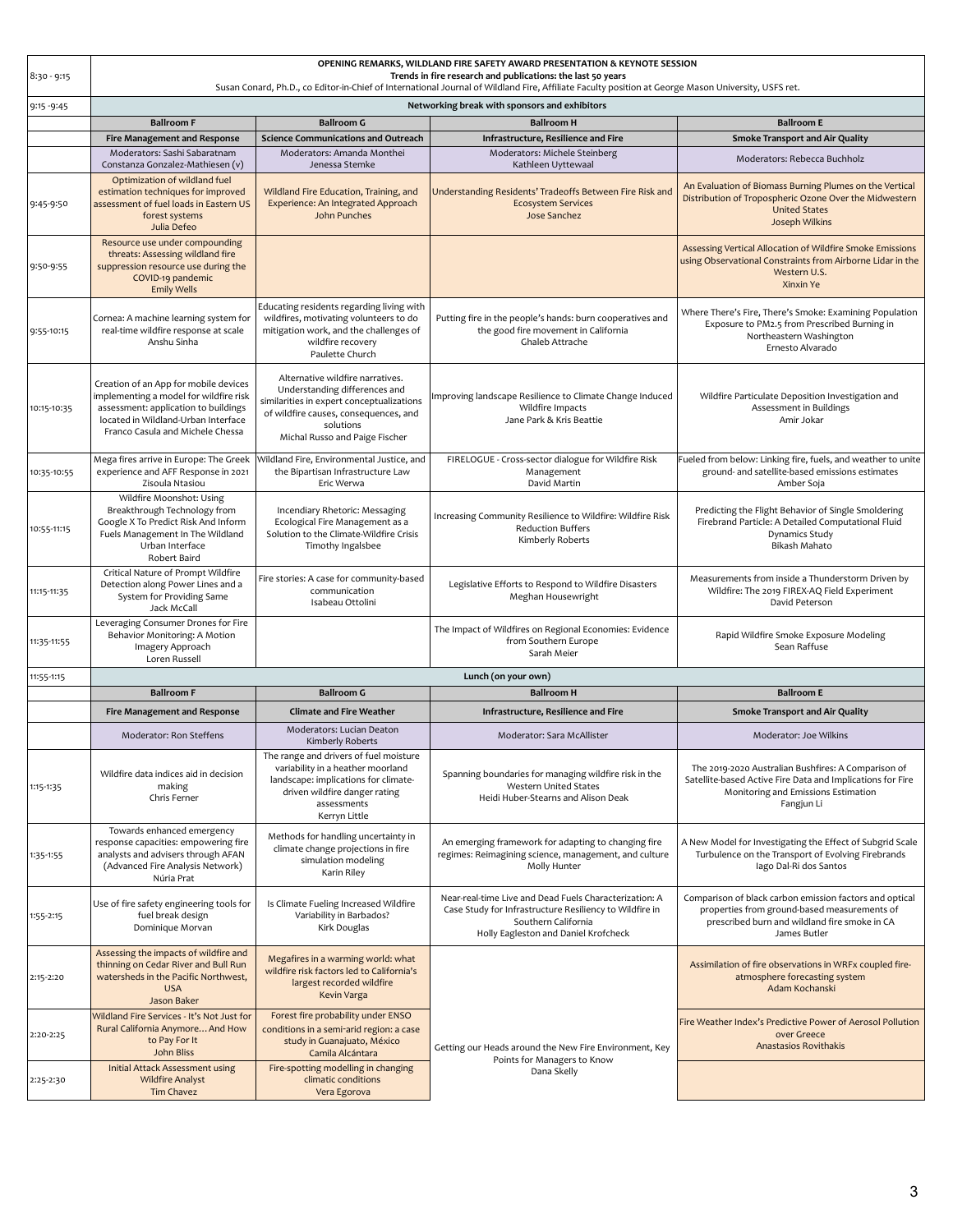| $8:30 - 9:15$ | OPENING REMARKS, WILDLAND FIRE SAFETY AWARD PRESENTATION & KEYNOTE SESSION<br>Trends in fire research and publications: the last 50 years                                                          |                                                                                                                                                                                                        |                                                                                                                                                                                  |                                                                                                                                                                          |
|---------------|----------------------------------------------------------------------------------------------------------------------------------------------------------------------------------------------------|--------------------------------------------------------------------------------------------------------------------------------------------------------------------------------------------------------|----------------------------------------------------------------------------------------------------------------------------------------------------------------------------------|--------------------------------------------------------------------------------------------------------------------------------------------------------------------------|
|               |                                                                                                                                                                                                    |                                                                                                                                                                                                        | Susan Conard, Ph.D., co Editor-in-Chief of International Journal of Wildland Fire, Affiliate Faculty position at George Mason University, USFS ret.                              |                                                                                                                                                                          |
| $9:15 - 9:45$ |                                                                                                                                                                                                    |                                                                                                                                                                                                        | Networking break with sponsors and exhibitors                                                                                                                                    |                                                                                                                                                                          |
|               | <b>Ballroom F</b>                                                                                                                                                                                  | <b>Ballroom G</b><br><b>Science Communications and Outreach</b>                                                                                                                                        | <b>Ballroom H</b>                                                                                                                                                                | <b>Ballroom E</b>                                                                                                                                                        |
|               | <b>Fire Management and Response</b><br>Moderators: Sashi Sabaratnam                                                                                                                                | Moderators: Amanda Monthei                                                                                                                                                                             | Infrastructure, Resilience and Fire<br>Moderators: Michele Steinberg                                                                                                             | <b>Smoke Transport and Air Quality</b>                                                                                                                                   |
|               | Constanza Gonzalez-Mathiesen (v)                                                                                                                                                                   | Jenessa Stemke                                                                                                                                                                                         | Kathleen Uyttewaal                                                                                                                                                               | Moderators: Rebecca Buchholz                                                                                                                                             |
| 9:45-9:50     | Optimization of wildland fuel<br>estimation techniques for improved<br>assessment of fuel loads in Eastern US<br>forest systems<br>Julia Defeo                                                     | Wildland Fire Education, Training, and<br>Experience: An Integrated Approach<br>John Punches                                                                                                           | Understanding Residents' Tradeoffs Between Fire Risk and<br><b>Ecosystem Services</b><br>Jose Sanchez                                                                            | An Evaluation of Biomass Burning Plumes on the Vertical<br>Distribution of Tropospheric Ozone Over the Midwestern<br><b>United States</b><br>Joseph Wilkins              |
| 9:50-9:55     | Resource use under compounding<br>threats: Assessing wildland fire<br>suppression resource use during the<br>COVID-19 pandemic<br><b>Emily Wells</b>                                               |                                                                                                                                                                                                        |                                                                                                                                                                                  | Assessing Vertical Allocation of Wildfire Smoke Emissions<br>using Observational Constraints from Airborne Lidar in the<br>Western U.S.<br>Xinxin Ye                     |
| 9:55-10:15    | Cornea: A machine learning system for<br>real-time wildfire response at scale<br>Anshu Sinha                                                                                                       | Educating residents regarding living with<br>wildfires, motivating volunteers to do<br>mitigation work, and the challenges of<br>wildfire recovery<br>Paulette Church                                  | Putting fire in the people's hands: burn cooperatives and<br>the good fire movement in California<br>Ghaleb Attrache                                                             | Where There's Fire, There's Smoke: Examining Population<br>Exposure to PM2.5 from Prescribed Burning in<br>Northeastern Washington<br>Ernesto Alvarado                   |
| 10:15-10:35   | Creation of an App for mobile devices<br>implementing a model for wildfire risk<br>assessment: application to buildings<br>located in Wildland-Urban Interface<br>Franco Casula and Michele Chessa | Alternative wildfire narratives.<br>Understanding differences and<br>similarities in expert conceptualizations<br>of wildfire causes, consequences, and<br>solutions<br>Michal Russo and Paige Fischer | Improving landscape Resilience to Climate Change Induced<br>Wildfire Impacts<br>Jane Park & Kris Beattie                                                                         | Wildfire Particulate Deposition Investigation and<br>Assessment in Buildings<br>Amir Jokar                                                                               |
| 10:35-10:55   | Mega fires arrive in Europe: The Greek<br>experience and AFF Response in 2021<br>Zisoula Ntasiou                                                                                                   | Wildland Fire, Environmental Justice, and<br>the Bipartisan Infrastructure Law<br>Eric Werwa                                                                                                           | FIRELOGUE - Cross-sector dialogue for Wildfire Risk<br>Management<br>David Martin                                                                                                | Fueled from below: Linking fire, fuels, and weather to unite<br>ground- and satellite-based emissions estimates<br>Amber Soja                                            |
| 10:55-11:15   | Wildfire Moonshot: Using<br>Breakthrough Technology from<br>Google X To Predict Risk And Inform<br>Fuels Management In The Wildland<br>Urban Interface<br>Robert Baird                             | Incendiary Rhetoric: Messaging<br>Ecological Fire Management as a<br>Solution to the Climate-Wildfire Crisis<br>Timothy Ingalsbee                                                                      | Increasing Community Resilience to Wildfire: Wildfire Risk<br><b>Reduction Buffers</b><br>Kimberly Roberts                                                                       | Predicting the Flight Behavior of Single Smoldering<br>Firebrand Particle: A Detailed Computational Fluid<br><b>Dynamics Study</b><br>Bikash Mahato                      |
| 11:15-11:35   | Critical Nature of Prompt Wildfire<br>Detection along Power Lines and a<br>System for Providing Same<br>Jack McCall                                                                                | Fire stories: A case for community-based<br>communication<br>Isabeau Ottolini                                                                                                                          | Legislative Efforts to Respond to Wildfire Disasters<br>Meghan Housewright                                                                                                       | Measurements from inside a Thunderstorm Driven by<br>Wildfire: The 2019 FIREX-AQ Field Experiment<br>David Peterson                                                      |
| 11:35-11:55   | Leveraging Consumer Drones for Fire<br>Behavior Monitoring: A Motion<br>Imagery Approach<br>Loren Russell                                                                                          |                                                                                                                                                                                                        | The Impact of Wildfires on Regional Economies: Evidence<br>from Southern Europe<br>Sarah Meier                                                                                   | Rapid Wildfire Smoke Exposure Modeling<br>Sean Raffuse                                                                                                                   |
| 11:55-1:15    |                                                                                                                                                                                                    |                                                                                                                                                                                                        | Lunch (on your own)                                                                                                                                                              |                                                                                                                                                                          |
|               | <b>Ballroom F</b>                                                                                                                                                                                  | <b>Ballroom G</b>                                                                                                                                                                                      | <b>Ballroom H</b>                                                                                                                                                                | <b>Ballroom E</b>                                                                                                                                                        |
|               | Fire Management and Response                                                                                                                                                                       | <b>Climate and Fire Weather</b>                                                                                                                                                                        | Infrastructure, Resilience and Fire                                                                                                                                              | <b>Smoke Transport and Air Quality</b>                                                                                                                                   |
|               | Moderator: Ron Steffens                                                                                                                                                                            | Moderators: Lucian Deaton<br>Kimberly Roberts                                                                                                                                                          | Moderator: Sara McAllister                                                                                                                                                       | Moderator: Joe Wilkins                                                                                                                                                   |
| 1:15-1:35     | Wildfire data indices aid in decision<br>making<br>Chris Ferner                                                                                                                                    | The range and drivers of fuel moisture<br>variability in a heather moorland<br>landscape: implications for climate-<br>driven wildfire danger rating<br>assessments<br>Kerryn Little                   | Spanning boundaries for managing wildfire risk in the<br>Western United States<br>Heidi Huber-Stearns and Alison Deak                                                            | The 2019-2020 Australian Bushfires: A Comparison of<br>Satellite-based Active Fire Data and Implications for Fire<br>Monitoring and Emissions Estimation<br>Fangjun Li   |
| 1:35-1:55     | Towards enhanced emergency<br>response capacities: empowering fire<br>analysts and advisers through AFAN<br>(Advanced Fire Analysis Network)<br>Núria Prat                                         | Methods for handling uncertainty in<br>climate change projections in fire<br>simulation modeling<br>Karin Riley                                                                                        | An emerging framework for adapting to changing fire<br>regimes: Reimagining science, management, and culture<br>Molly Hunter                                                     | A New Model for Investigating the Effect of Subgrid Scale<br>Turbulence on the Transport of Evolving Firebrands<br>lago Dal-Ri dos Santos                                |
| 1:55-2:15     | Use of fire safety engineering tools for<br>fuel break design<br>Dominique Morvan                                                                                                                  | Is Climate Fueling Increased Wildfire<br>Variability in Barbados?<br>Kirk Douglas                                                                                                                      | Near-real-time Live and Dead Fuels Characterization: A<br>Case Study for Infrastructure Resiliency to Wildfire in<br>Southern California<br>Holly Eagleston and Daniel Krofcheck | Comparison of black carbon emission factors and optical<br>properties from ground-based measurements of<br>prescribed burn and wildland fire smoke in CA<br>James Butler |
| 2:15-2:20     | Assessing the impacts of wildfire and<br>thinning on Cedar River and Bull Run<br>watersheds in the Pacific Northwest,<br><b>USA</b><br>Jason Baker                                                 | Megafires in a warming world: what<br>wildfire risk factors led to California's<br>largest recorded wildfire<br>Kevin Varga                                                                            |                                                                                                                                                                                  | Assimilation of fire observations in WRFx coupled fire-<br>atmosphere forecasting system<br>Adam Kochanski                                                               |
| 2:20-2:25     | Wildland Fire Services - It's Not Just for<br>Rural California Anymore And How<br>to Pay For It<br>John Bliss                                                                                      | Forest fire probability under ENSO<br>conditions in a semi-arid region: a case<br>study in Guanajuato, México<br>Camila Alcántara                                                                      | Getting our Heads around the New Fire Environment, Key<br>Points for Managers to Know                                                                                            | Fire Weather Index's Predictive Power of Aerosol Pollution<br>over Greece<br><b>Anastasios Rovithakis</b>                                                                |
| 2:25-2:30     | <b>Initial Attack Assessment using</b><br><b>Wildfire Analyst</b><br><b>Tim Chavez</b>                                                                                                             | Fire-spotting modelling in changing<br>climatic conditions<br>Vera Egorova                                                                                                                             | Dana Skelly                                                                                                                                                                      |                                                                                                                                                                          |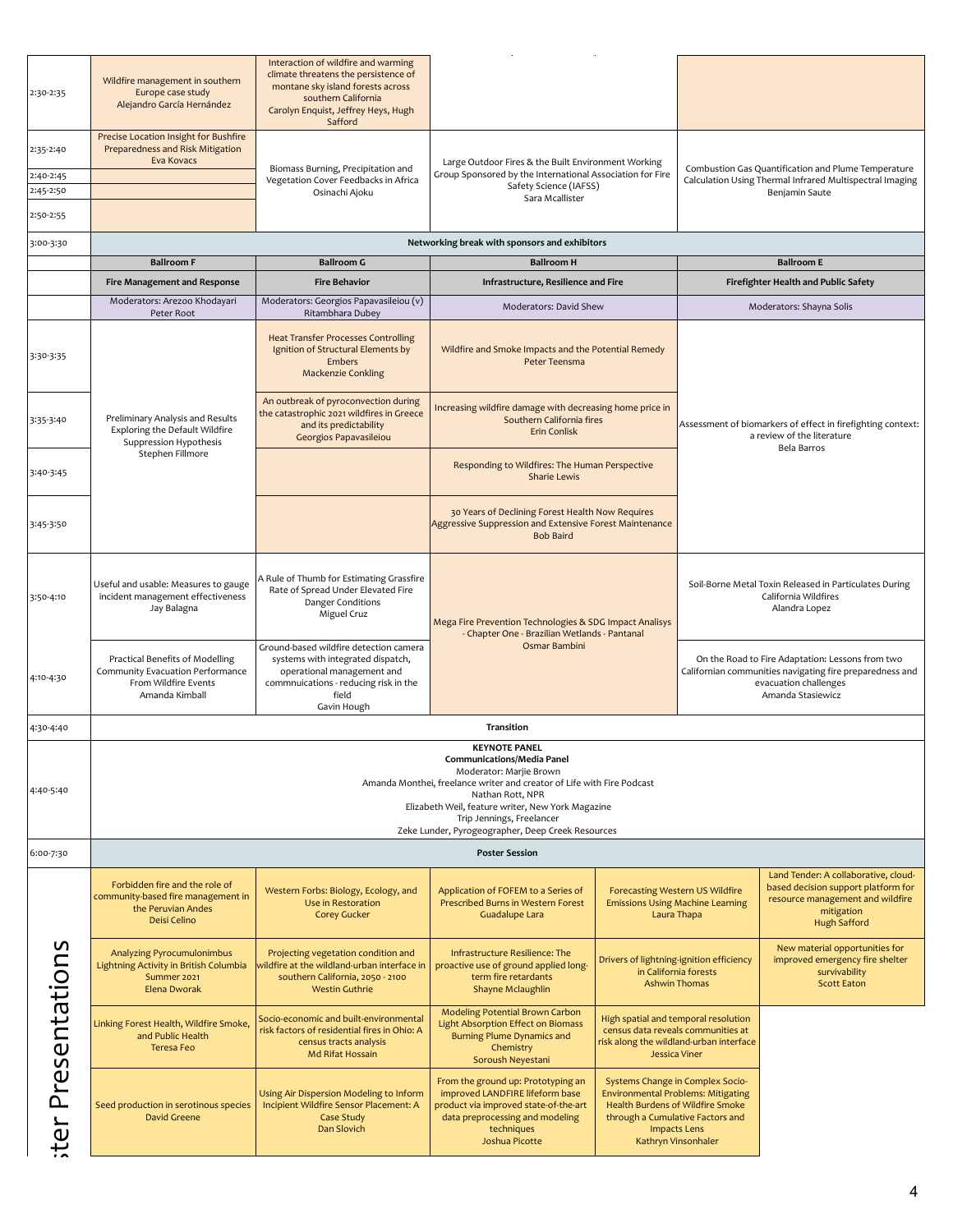| 2:30-2:35              | Wildfire management in southern<br>Europe case study<br>Alejandro García Hernández                                                                                                                                                                                                                                                      | Interaction of wildfire and warming<br>climate threatens the persistence of<br>montane sky island forests across<br>southern California<br>Carolyn Enquist, Jeffrey Heys, Hugh<br>Safford |                                                                                                                                                                                   |                                                                                                             |                                                                                                                                                                 |                                                                                                                                                      |  |
|------------------------|-----------------------------------------------------------------------------------------------------------------------------------------------------------------------------------------------------------------------------------------------------------------------------------------------------------------------------------------|-------------------------------------------------------------------------------------------------------------------------------------------------------------------------------------------|-----------------------------------------------------------------------------------------------------------------------------------------------------------------------------------|-------------------------------------------------------------------------------------------------------------|-----------------------------------------------------------------------------------------------------------------------------------------------------------------|------------------------------------------------------------------------------------------------------------------------------------------------------|--|
| 2:35-2:40<br>2:40-2:45 | Precise Location Insight for Bushfire<br>Preparedness and Risk Mitigation<br>Eva Kovacs                                                                                                                                                                                                                                                 | Biomass Burning, Precipitation and<br>Vegetation Cover Feedbacks in Africa                                                                                                                | Large Outdoor Fires & the Built Environment Working<br>Group Sponsored by the International Association for Fire<br>Safety Science (IAFSS)                                        |                                                                                                             |                                                                                                                                                                 | Combustion Gas Quantification and Plume Temperature<br>Calculation Using Thermal Infrared Multispectral Imaging                                      |  |
| 2:45-2:50<br>2:50-2:55 |                                                                                                                                                                                                                                                                                                                                         | Osinachi Ajoku                                                                                                                                                                            | Sara Mcallister                                                                                                                                                                   |                                                                                                             |                                                                                                                                                                 | Benjamin Saute                                                                                                                                       |  |
| 3:00-3:30              |                                                                                                                                                                                                                                                                                                                                         |                                                                                                                                                                                           | Networking break with sponsors and exhibitors                                                                                                                                     |                                                                                                             |                                                                                                                                                                 |                                                                                                                                                      |  |
|                        | <b>Ballroom F</b>                                                                                                                                                                                                                                                                                                                       | <b>Ballroom G</b>                                                                                                                                                                         | <b>Ballroom H</b>                                                                                                                                                                 |                                                                                                             |                                                                                                                                                                 | <b>Ballroom E</b>                                                                                                                                    |  |
|                        | Fire Management and Response                                                                                                                                                                                                                                                                                                            | <b>Fire Behavior</b>                                                                                                                                                                      | Infrastructure, Resilience and Fire                                                                                                                                               |                                                                                                             |                                                                                                                                                                 | Firefighter Health and Public Safety                                                                                                                 |  |
|                        | Moderators: Arezoo Khodayari<br>Peter Root                                                                                                                                                                                                                                                                                              | Moderators: Georgios Papavasileiou (v)<br>Ritambhara Dubey                                                                                                                                | Moderators: David Shew                                                                                                                                                            |                                                                                                             |                                                                                                                                                                 | Moderators: Shayna Solis                                                                                                                             |  |
| 3:30-3:35              |                                                                                                                                                                                                                                                                                                                                         | <b>Heat Transfer Processes Controlling</b><br>Ignition of Structural Elements by<br><b>Embers</b><br><b>Mackenzie Conkling</b>                                                            | Wildfire and Smoke Impacts and the Potential Remedy<br>Peter Teensma                                                                                                              |                                                                                                             |                                                                                                                                                                 |                                                                                                                                                      |  |
| 3:35-3:40              | Preliminary Analysis and Results<br><b>Exploring the Default Wildfire</b><br>Suppression Hypothesis                                                                                                                                                                                                                                     | An outbreak of pyroconvection during<br>the catastrophic 2021 wildfires in Greece<br>and its predictability<br>Georgios Papavasileiou                                                     | Increasing wildfire damage with decreasing home price in<br>Southern California fires<br><b>Erin Conlisk</b>                                                                      |                                                                                                             | Assessment of biomarkers of effect in firefighting context:<br>a review of the literature<br><b>Bela Barros</b>                                                 |                                                                                                                                                      |  |
| 3:40-3:45              | Stephen Fillmore                                                                                                                                                                                                                                                                                                                        |                                                                                                                                                                                           | Responding to Wildfires: The Human Perspective<br><b>Sharie Lewis</b>                                                                                                             |                                                                                                             |                                                                                                                                                                 |                                                                                                                                                      |  |
| 3:45-3:50              |                                                                                                                                                                                                                                                                                                                                         |                                                                                                                                                                                           | <b>Bob Baird</b>                                                                                                                                                                  | 30 Years of Declining Forest Health Now Requires<br>Aggressive Suppression and Extensive Forest Maintenance |                                                                                                                                                                 |                                                                                                                                                      |  |
| 3:50-4:10              | Useful and usable: Measures to gauge<br>incident management effectiveness<br>Jay Balagna                                                                                                                                                                                                                                                | A Rule of Thumb for Estimating Grassfire<br>Rate of Spread Under Elevated Fire<br><b>Danger Conditions</b><br>Miguel Cruz                                                                 | Mega Fire Prevention Technologies & SDG Impact Analisys<br>- Chapter One - Brazilian Wetlands - Pantanal                                                                          |                                                                                                             | Soil-Borne Metal Toxin Released in Particulates During<br>California Wildfires<br>Alandra Lopez                                                                 |                                                                                                                                                      |  |
| 4:10-4:30              | Practical Benefits of Modelling<br>Community Evacuation Performance<br>From Wildfire Events<br>Amanda Kimball                                                                                                                                                                                                                           | Ground-based wildfire detection camera<br>systems with integrated dispatch,<br>operational management and<br>commnuications - reducing risk in the<br>field                               | Osmar Bambini                                                                                                                                                                     |                                                                                                             | On the Road to Fire Adaptation: Lessons from two<br>Californian communities navigating fire preparedness and<br>evacuation challenges<br>Amanda Stasiewicz      |                                                                                                                                                      |  |
| 4:30-4:40              |                                                                                                                                                                                                                                                                                                                                         | Gavin Hough                                                                                                                                                                               |                                                                                                                                                                                   |                                                                                                             |                                                                                                                                                                 |                                                                                                                                                      |  |
| 4:40-5:40              | Transition<br><b>KEYNOTE PANEL</b><br><b>Communications/Media Panel</b><br>Moderator: Marjie Brown<br>Amanda Monthei, freelance writer and creator of Life with Fire Podcast<br>Nathan Rott, NPR<br>Elizabeth Weil, feature writer, New York Magazine<br>Trip Jennings, Freelancer<br>Zeke Lunder, Pyrogeographer, Deep Creek Resources |                                                                                                                                                                                           |                                                                                                                                                                                   |                                                                                                             |                                                                                                                                                                 |                                                                                                                                                      |  |
| 6:00-7:30              |                                                                                                                                                                                                                                                                                                                                         |                                                                                                                                                                                           | <b>Poster Session</b>                                                                                                                                                             |                                                                                                             |                                                                                                                                                                 |                                                                                                                                                      |  |
|                        | Forbidden fire and the role of<br>community-based fire management in<br>the Peruvian Andes<br>Deisi Celino                                                                                                                                                                                                                              | Western Forbs: Biology, Ecology, and<br>Use in Restoration<br><b>Corey Gucker</b>                                                                                                         | Application of FOFEM to a Series of<br>Prescribed Burns in Western Forest<br>Guadalupe Lara                                                                                       | <b>Forecasting Western US Wildfire</b><br><b>Emissions Using Machine Learning</b><br>Laura Thapa            |                                                                                                                                                                 | Land Tender: A collaborative, cloud-<br>based decision support platform for<br>resource management and wildfire<br>mitigation<br><b>Hugh Safford</b> |  |
|                        | <b>Analyzing Pyrocumulonimbus</b><br>Lightning Activity in British Columbia<br>Summer 2021<br>Elena Dworak                                                                                                                                                                                                                              | Projecting vegetation condition and<br>wildfire at the wildland-urban interface in<br>southern California, 2050 - 2100<br><b>Westin Guthrie</b>                                           | Infrastructure Resilience: The<br>proactive use of ground applied long-<br>term fire retardants<br>Shayne Mclaughlin                                                              |                                                                                                             | Drivers of lightning-ignition efficiency<br>in California forests<br><b>Ashwin Thomas</b>                                                                       | New material opportunities for<br>improved emergency fire shelter<br>survivability<br><b>Scott Eaton</b>                                             |  |
| Presentations          | Linking Forest Health, Wildfire Smoke,<br>and Public Health<br><b>Teresa Feo</b>                                                                                                                                                                                                                                                        | Socio-economic and built-environmental<br>risk factors of residential fires in Ohio: A<br>census tracts analysis<br>Md Rifat Hossain                                                      | Modeling Potential Brown Carbon<br><b>Light Absorption Effect on Biomass</b><br><b>Burning Plume Dynamics and</b><br>Chemistry<br>Soroush Neyestani                               |                                                                                                             | High spatial and temporal resolution<br>census data reveals communities at<br>risk along the wildland-urban interface<br><b>Jessica Viner</b>                   |                                                                                                                                                      |  |
| iter                   | Seed production in serotinous species<br><b>David Greene</b>                                                                                                                                                                                                                                                                            | Using Air Dispersion Modeling to Inform<br>Incipient Wildfire Sensor Placement: A<br>Case Study<br>Dan Slovich                                                                            | From the ground up: Prototyping an<br>improved LANDFIRE lifeform base<br>product via improved state-of-the-art<br>data preprocessing and modeling<br>techniques<br>Joshua Picotte | through a Cumulative Factors and                                                                            | Systems Change in Complex Socio-<br><b>Environmental Problems: Mitigating</b><br>Health Burdens of Wildfire Smoke<br><b>Impacts Lens</b><br>Kathryn Vinsonhaler |                                                                                                                                                      |  |
|                        |                                                                                                                                                                                                                                                                                                                                         |                                                                                                                                                                                           |                                                                                                                                                                                   |                                                                                                             |                                                                                                                                                                 |                                                                                                                                                      |  |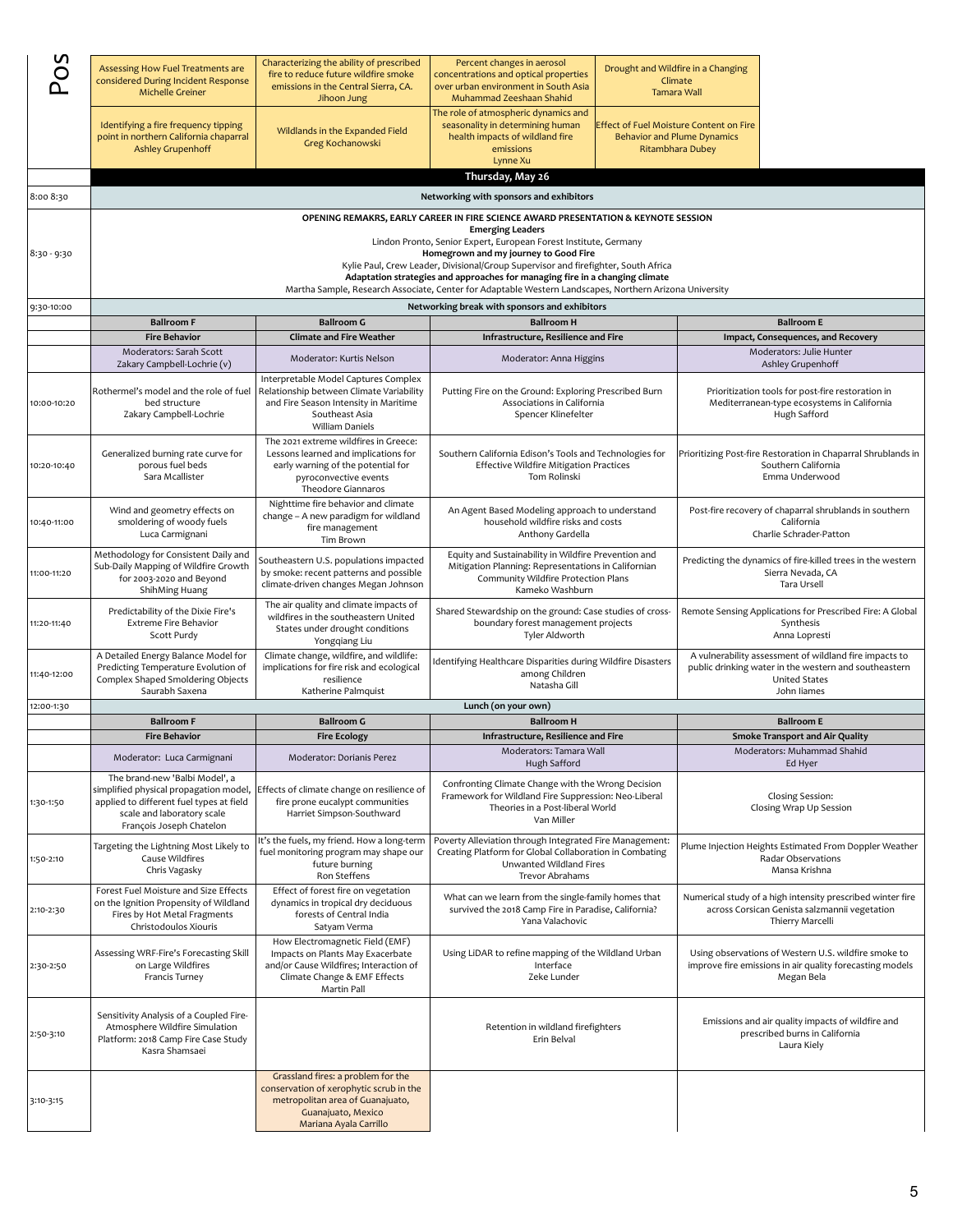| n             |                                                                                                                                                                                |                                                                                                                                                                           |                                                                                                                                                                                                                                                                                                                  |  |                                                                                                   |                                                                                                                                                        |
|---------------|--------------------------------------------------------------------------------------------------------------------------------------------------------------------------------|---------------------------------------------------------------------------------------------------------------------------------------------------------------------------|------------------------------------------------------------------------------------------------------------------------------------------------------------------------------------------------------------------------------------------------------------------------------------------------------------------|--|---------------------------------------------------------------------------------------------------|--------------------------------------------------------------------------------------------------------------------------------------------------------|
| $\circ$       | Assessing How Fuel Treatments are<br>considered During Incident Response<br><b>Michelle Greiner</b>                                                                            | Characterizing the ability of prescribed<br>fire to reduce future wildfire smoke<br>emissions in the Central Sierra, CA.<br>Jihoon Jung                                   | Percent changes in aerosol<br>concentrations and optical properties<br>over urban environment in South Asia<br>Muhammad Zeeshaan Shahid                                                                                                                                                                          |  | Drought and Wildfire in a Changing<br>Climate<br><b>Tamara Wall</b>                               |                                                                                                                                                        |
|               | Identifying a fire frequency tipping<br>point in northern California chaparral<br><b>Ashley Grupenhoff</b>                                                                     | Wildlands in the Expanded Field<br>Greg Kochanowski                                                                                                                       | The role of atmospheric dynamics and<br>seasonality in determining human<br>health impacts of wildland fire<br>emissions<br>Lynne Xu                                                                                                                                                                             |  | Effect of Fuel Moisture Content on Fire<br><b>Behavior and Plume Dynamics</b><br>Ritambhara Dubey |                                                                                                                                                        |
|               |                                                                                                                                                                                |                                                                                                                                                                           | Thursday, May 26                                                                                                                                                                                                                                                                                                 |  |                                                                                                   |                                                                                                                                                        |
| 8:00 8:30     |                                                                                                                                                                                |                                                                                                                                                                           | Networking with sponsors and exhibitors                                                                                                                                                                                                                                                                          |  |                                                                                                   |                                                                                                                                                        |
| $8:30 - 9:30$ |                                                                                                                                                                                |                                                                                                                                                                           | OPENING REMAKRS, EARLY CAREER IN FIRE SCIENCE AWARD PRESENTATION & KEYNOTE SESSION<br><b>Emerging Leaders</b><br>Lindon Pronto, Senior Expert, European Forest Institute, Germany<br>Homegrown and my journey to Good Fire<br>Kylie Paul, Crew Leader, Divisional/Group Supervisor and firefighter, South Africa |  |                                                                                                   |                                                                                                                                                        |
|               |                                                                                                                                                                                |                                                                                                                                                                           | Adaptation strategies and approaches for managing fire in a changing climate<br>Martha Sample, Research Associate, Center for Adaptable Western Landscapes, Northern Arizona University                                                                                                                          |  |                                                                                                   |                                                                                                                                                        |
| 9:30-10:00    |                                                                                                                                                                                |                                                                                                                                                                           | Networking break with sponsors and exhibitors                                                                                                                                                                                                                                                                    |  |                                                                                                   |                                                                                                                                                        |
|               | <b>Ballroom F</b>                                                                                                                                                              | <b>Ballroom G</b>                                                                                                                                                         | <b>Ballroom H</b>                                                                                                                                                                                                                                                                                                |  |                                                                                                   | <b>Ballroom E</b>                                                                                                                                      |
|               | <b>Fire Behavior</b><br>Moderators: Sarah Scott                                                                                                                                | <b>Climate and Fire Weather</b>                                                                                                                                           | Infrastructure, Resilience and Fire                                                                                                                                                                                                                                                                              |  |                                                                                                   | Impact, Consequences, and Recovery<br>Moderators: Julie Hunter                                                                                         |
|               | Zakary Campbell-Lochrie (v)                                                                                                                                                    | Moderator: Kurtis Nelson                                                                                                                                                  | Moderator: Anna Higgins                                                                                                                                                                                                                                                                                          |  |                                                                                                   | Ashley Grupenhoff                                                                                                                                      |
| 10:00-10:20   | Rothermel's model and the role of fuel<br>bed structure<br>Zakary Campbell-Lochrie                                                                                             | Interpretable Model Captures Complex<br>Relationship between Climate Variability<br>and Fire Season Intensity in Maritime<br>Southeast Asia<br><b>William Daniels</b>     | Putting Fire on the Ground: Exploring Prescribed Burn<br>Associations in California<br>Spencer Klinefelter                                                                                                                                                                                                       |  |                                                                                                   | Prioritization tools for post-fire restoration in<br>Mediterranean-type ecosystems in California<br>Hugh Safford                                       |
| 10:20-10:40   | Generalized burning rate curve for<br>porous fuel beds<br>Sara Mcallister                                                                                                      | The 2021 extreme wildfires in Greece:<br>Lessons learned and implications for<br>early warning of the potential for<br>pyroconvective events<br><b>Theodore Giannaros</b> | Southern California Edison's Tools and Technologies for<br><b>Effective Wildfire Mitigation Practices</b><br>Tom Rolinski                                                                                                                                                                                        |  |                                                                                                   | Prioritizing Post-fire Restoration in Chaparral Shrublands in<br>Southern California<br>Emma Underwood                                                 |
| 10:40-11:00   | Wind and geometry effects on<br>smoldering of woody fuels<br>Luca Carmignani                                                                                                   | Nighttime fire behavior and climate<br>change - A new paradigm for wildland<br>fire management<br>Tim Brown                                                               | An Agent Based Modeling approach to understand<br>household wildfire risks and costs<br>Anthony Gardella                                                                                                                                                                                                         |  |                                                                                                   | Post-fire recovery of chaparral shrublands in southern<br>California<br>Charlie Schrader-Patton                                                        |
| 11:00-11:20   | Methodology for Consistent Daily and<br>Sub-Daily Mapping of Wildfire Growth<br>for 2003-2020 and Beyond<br>ShihMing Huang                                                     | Southeastern U.S. populations impacted<br>by smoke: recent patterns and possible<br>climate-driven changes Megan Johnson                                                  | Equity and Sustainability in Wildfire Prevention and<br>Mitigation Planning: Representations in Californian<br>Community Wildfire Protection Plans<br>Kameko Washburn                                                                                                                                            |  |                                                                                                   | Predicting the dynamics of fire-killed trees in the western<br>Sierra Nevada, CA<br>Tara Ursell                                                        |
| 11:20-11:40   | Predictability of the Dixie Fire's<br><b>Extreme Fire Behavior</b><br>Scott Purdy                                                                                              | The air quality and climate impacts of<br>wildfires in the southeastern United<br>States under drought conditions<br>Yongqiang Liu                                        | Shared Stewardship on the ground: Case studies of cross-<br>boundary forest management projects<br>Tyler Aldworth                                                                                                                                                                                                |  |                                                                                                   | Remote Sensing Applications for Prescribed Fire: A Global<br>Synthesis<br>Anna Lopresti                                                                |
| 11:40-12:00   | A Detailed Energy Balance Model for<br>Predicting Temperature Evolution of<br>Complex Shaped Smoldering Objects<br>Saurabh Saxena                                              | Climate change, wildfire, and wildlife:<br>implications for fire risk and ecological<br>resilience<br>Katherine Palmquist                                                 | Identifying Healthcare Disparities during Wildfire Disasters<br>among Children<br>Natasha Gill                                                                                                                                                                                                                   |  |                                                                                                   | A vulnerability assessment of wildland fire impacts to<br>public drinking water in the western and southeastern<br><b>United States</b><br>John liames |
| 12:00-1:30    | <b>Ballroom F</b>                                                                                                                                                              | <b>Ballroom G</b>                                                                                                                                                         | Lunch (on your own)<br><b>Ballroom H</b>                                                                                                                                                                                                                                                                         |  |                                                                                                   | <b>Ballroom E</b>                                                                                                                                      |
|               | <b>Fire Behavior</b>                                                                                                                                                           | <b>Fire Ecology</b>                                                                                                                                                       | Infrastructure, Resilience and Fire                                                                                                                                                                                                                                                                              |  |                                                                                                   | <b>Smoke Transport and Air Quality</b>                                                                                                                 |
|               | Moderator: Luca Carmignani                                                                                                                                                     | Moderator: Dorianis Perez                                                                                                                                                 | Moderators: Tamara Wall                                                                                                                                                                                                                                                                                          |  |                                                                                                   | Moderators: Muhammad Shahid<br>Ed Hyer                                                                                                                 |
| 1:30-1:50     | The brand-new 'Balbi Model', a<br>simplified physical propagation model,<br>applied to different fuel types at field<br>scale and laboratory scale<br>François Joseph Chatelon | Effects of climate change on resilience of<br>fire prone eucalypt communities<br>Harriet Simpson-Southward                                                                | Hugh Safford<br>Confronting Climate Change with the Wrong Decision<br>Framework for Wildland Fire Suppression: Neo-Liberal<br>Theories in a Post-liberal World<br>Van Miller                                                                                                                                     |  |                                                                                                   | Closing Session:<br>Closing Wrap Up Session                                                                                                            |
| 1:50-2:10     | Targeting the Lightning Most Likely to<br>Cause Wildfires<br>Chris Vagasky                                                                                                     | It's the fuels, my friend. How a long-term<br>fuel monitoring program may shape our<br>future burning<br>Ron Steffens                                                     | Poverty Alleviation through Integrated Fire Management:<br>Creating Platform for Global Collaboration in Combating<br>Unwanted Wildland Fires<br>Trevor Abrahams                                                                                                                                                 |  |                                                                                                   | Plume Injection Heights Estimated From Doppler Weather<br>Radar Observations<br>Mansa Krishna                                                          |
| 2:10-2:30     | Forest Fuel Moisture and Size Effects<br>on the Ignition Propensity of Wildland<br>Fires by Hot Metal Fragments<br>Christodoulos Xiouris                                       | Effect of forest fire on vegetation<br>dynamics in tropical dry deciduous<br>forests of Central India<br>Satyam Verma                                                     | What can we learn from the single-family homes that<br>survived the 2018 Camp Fire in Paradise, California?<br>Yana Valachovic                                                                                                                                                                                   |  |                                                                                                   | Numerical study of a high intensity prescribed winter fire<br>across Corsican Genista salzmannii vegetation<br>Thierry Marcelli                        |
| 2:30-2:50     | Assessing WRF-Fire's Forecasting Skill<br>on Large Wildfires<br>Francis Turney                                                                                                 | How Electromagnetic Field (EMF)<br>Impacts on Plants May Exacerbate<br>and/or Cause Wildfires; Interaction of<br>Climate Change & EMF Effects<br>Martin Pall              | Using LiDAR to refine mapping of the Wildland Urban<br>Interface<br>Zeke Lunder                                                                                                                                                                                                                                  |  |                                                                                                   | Using observations of Western U.S. wildfire smoke to<br>improve fire emissions in air quality forecasting models<br>Megan Bela                         |
| 2:50-3:10     | Sensitivity Analysis of a Coupled Fire-<br>Atmosphere Wildfire Simulation<br>Platform: 2018 Camp Fire Case Study<br>Kasra Shamsaei                                             |                                                                                                                                                                           | Retention in wildland firefighters<br>Erin Belval                                                                                                                                                                                                                                                                |  |                                                                                                   | Emissions and air quality impacts of wildfire and<br>prescribed burns in California<br>Laura Kiely                                                     |
| 3:10-3:15     |                                                                                                                                                                                | Grassland fires: a problem for the<br>conservation of xerophytic scrub in the<br>metropolitan area of Guanajuato,<br>Guanajuato, Mexico<br>Mariana Ayala Carrillo         |                                                                                                                                                                                                                                                                                                                  |  |                                                                                                   |                                                                                                                                                        |